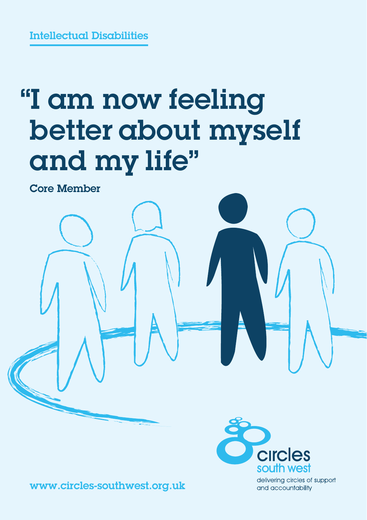Intellectual Disabilities

## "I am now feeling better about myself and my life"

Core Member





delivering circles of support and accountability

www.circles-southwest.org.uk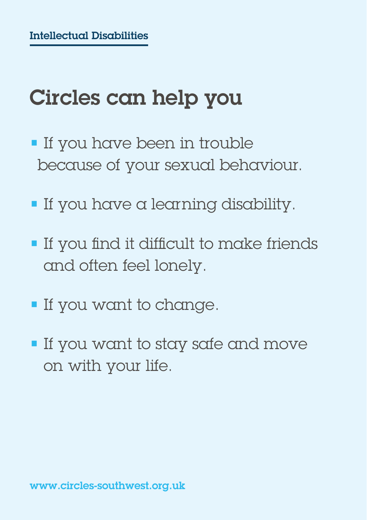## Circles can help you

- If you have been in trouble because of your sexual behaviour.
- If you have a learning disability.
- If you find it difficult to make friends and often feel lonely.
- If you want to change.
- If you want to stay safe and move on with your life.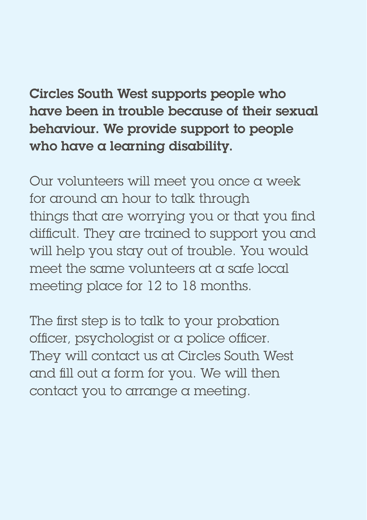Circles South West supports people who have been in trouble because of their sexual behaviour. We provide support to people who have a learning disability.

Our volunteers will meet you once a week for around an hour to talk through things that are worrying you or that you find difficult. They are trained to support you and will help you stay out of trouble. You would meet the same volunteers at a safe local meeting place for 12 to 18 months.

The first step is to talk to your probation officer, psychologist or a police officer. They will contact us at Circles South West and fill out a form for you. We will then contact you to arrange a meeting.